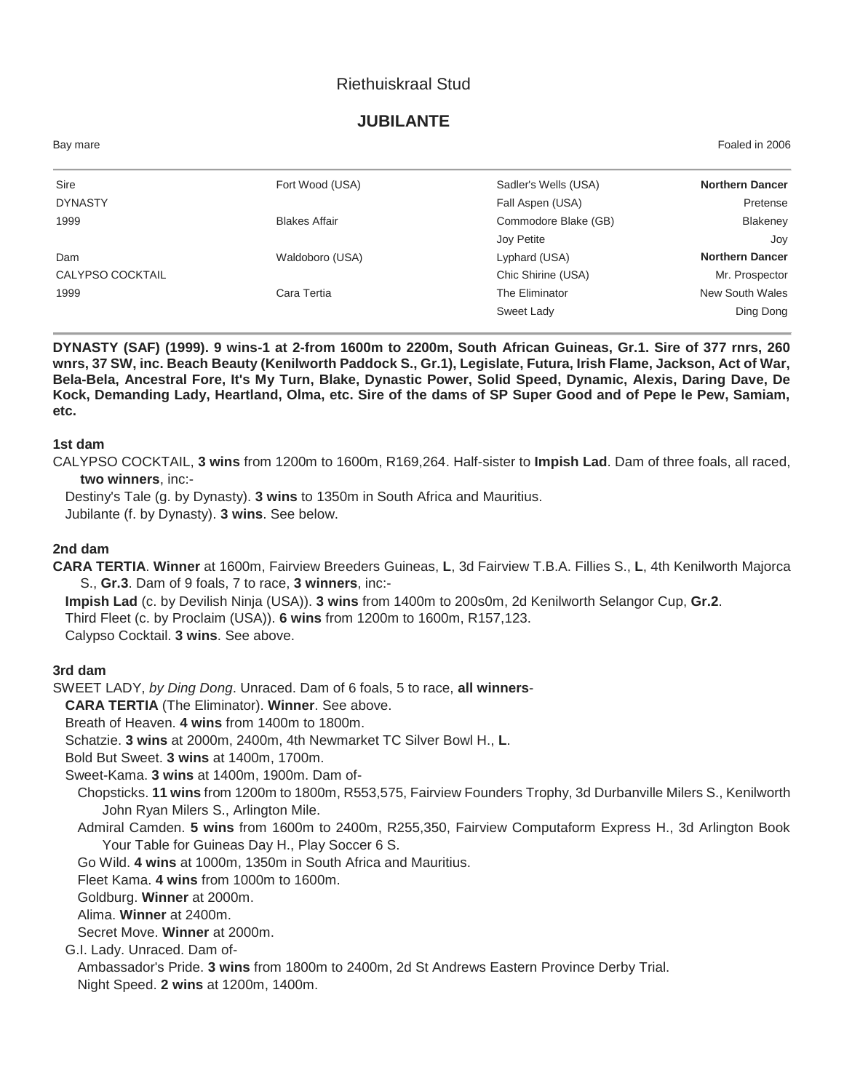## Riethuiskraal Stud

## **JUBILANTE**

| Bay mare         |                      |                      | Foaled in 2006         |
|------------------|----------------------|----------------------|------------------------|
| Sire             | Fort Wood (USA)      | Sadler's Wells (USA) | <b>Northern Dancer</b> |
| <b>DYNASTY</b>   |                      | Fall Aspen (USA)     | Pretense               |
| 1999             | <b>Blakes Affair</b> | Commodore Blake (GB) | Blakeney               |
|                  |                      | Joy Petite           | Joy                    |
| Dam              | Waldoboro (USA)      | Lyphard (USA)        | <b>Northern Dancer</b> |
| CALYPSO COCKTAIL |                      | Chic Shirine (USA)   | Mr. Prospector         |
| 1999             | Cara Tertia          | The Eliminator       | New South Wales        |
|                  |                      | Sweet Lady           | Ding Dong              |

**DYNASTY (SAF) (1999). 9 wins-1 at 2-from 1600m to 2200m, South African Guineas, Gr.1. Sire of 377 rnrs, 260 wnrs, 37 SW, inc. Beach Beauty (Kenilworth Paddock S., Gr.1), Legislate, Futura, Irish Flame, Jackson, Act of War, Bela-Bela, Ancestral Fore, It's My Turn, Blake, Dynastic Power, Solid Speed, Dynamic, Alexis, Daring Dave, De Kock, Demanding Lady, Heartland, Olma, etc. Sire of the dams of SP Super Good and of Pepe le Pew, Samiam, etc.**

#### **1st dam**

CALYPSO COCKTAIL, **3 wins** from 1200m to 1600m, R169,264. Half-sister to **Impish Lad**. Dam of three foals, all raced, **two winners**, inc:-

Destiny's Tale (g. by Dynasty). **3 wins** to 1350m in South Africa and Mauritius. Jubilante (f. by Dynasty). **3 wins**. See below.

#### **2nd dam**

**CARA TERTIA**. **Winner** at 1600m, Fairview Breeders Guineas, **L**, 3d Fairview T.B.A. Fillies S., **L**, 4th Kenilworth Majorca S., **Gr.3**. Dam of 9 foals, 7 to race, **3 winners**, inc:-

**Impish Lad** (c. by Devilish Ninja (USA)). **3 wins** from 1400m to 200s0m, 2d Kenilworth Selangor Cup, **Gr.2**. Third Fleet (c. by Proclaim (USA)). **6 wins** from 1200m to 1600m, R157,123. Calypso Cocktail. **3 wins**. See above.

#### **3rd dam**

SWEET LADY, *by Ding Dong*. Unraced. Dam of 6 foals, 5 to race, **all winners**-

**CARA TERTIA** (The Eliminator). **Winner**. See above.

Breath of Heaven. **4 wins** from 1400m to 1800m.

Schatzie. **3 wins** at 2000m, 2400m, 4th Newmarket TC Silver Bowl H., **L**.

Bold But Sweet. **3 wins** at 1400m, 1700m.

Sweet-Kama. **3 wins** at 1400m, 1900m. Dam of-

Chopsticks. **11 wins** from 1200m to 1800m, R553,575, Fairview Founders Trophy, 3d Durbanville Milers S., Kenilworth John Ryan Milers S., Arlington Mile.

Admiral Camden. **5 wins** from 1600m to 2400m, R255,350, Fairview Computaform Express H., 3d Arlington Book Your Table for Guineas Day H., Play Soccer 6 S.

Go Wild. **4 wins** at 1000m, 1350m in South Africa and Mauritius.

Fleet Kama. **4 wins** from 1000m to 1600m.

Goldburg. **Winner** at 2000m.

Alima. **Winner** at 2400m.

Secret Move. **Winner** at 2000m.

G.I. Lady. Unraced. Dam of-

Ambassador's Pride. **3 wins** from 1800m to 2400m, 2d St Andrews Eastern Province Derby Trial. Night Speed. **2 wins** at 1200m, 1400m.